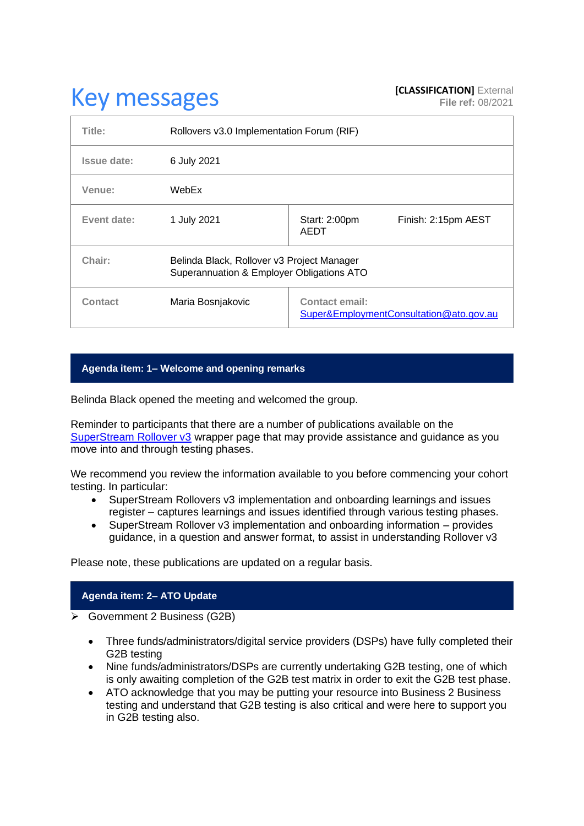# **Key messages [CLASSIFICATION]** External **[CLASSIFICATION]** External

| Title:         | Rollovers v3.0 Implementation Forum (RIF)                                               |                                                                  |
|----------------|-----------------------------------------------------------------------------------------|------------------------------------------------------------------|
| Issue date:    | 6 July 2021                                                                             |                                                                  |
| Venue:         | WebEx                                                                                   |                                                                  |
| Event date:    | 1 July 2021                                                                             | Finish: 2:15pm AEST<br>Start: 2:00pm<br>AEDT                     |
| Chair:         | Belinda Black, Rollover v3 Project Manager<br>Superannuation & Employer Obligations ATO |                                                                  |
| <b>Contact</b> | Maria Bosnjakovic                                                                       | <b>Contact email:</b><br>Super&EmploymentConsultation@ato.gov.au |

## **Agenda item: 1– Welcome and opening remarks**

Belinda Black opened the meeting and welcomed the group.

Reminder to participants that there are a number of publications available on the [SuperStream Rollover v3](https://www.ato.gov.au/Super/Sup/SuperStream-Rollover-v3/) wrapper page that may provide assistance and guidance as you move into and through testing phases.

We recommend you review the information available to you before commencing your cohort testing. In particular:

- SuperStream Rollovers v3 implementation and onboarding learnings and issues register – captures learnings and issues identified through various testing phases.
- SuperStream Rollover v3 implementation and onboarding information provides guidance, in a question and answer format, to assist in understanding Rollover v3

Please note, these publications are updated on a regular basis.

## **Agenda item: 2– ATO Update**

➢ Government 2 Business (G2B)

- Three funds/administrators/digital service providers (DSPs) have fully completed their G2B testing
- Nine funds/administrators/DSPs are currently undertaking G2B testing, one of which is only awaiting completion of the G2B test matrix in order to exit the G2B test phase.
- ATO acknowledge that you may be putting your resource into Business 2 Business testing and understand that G2B testing is also critical and were here to support you in G2B testing also.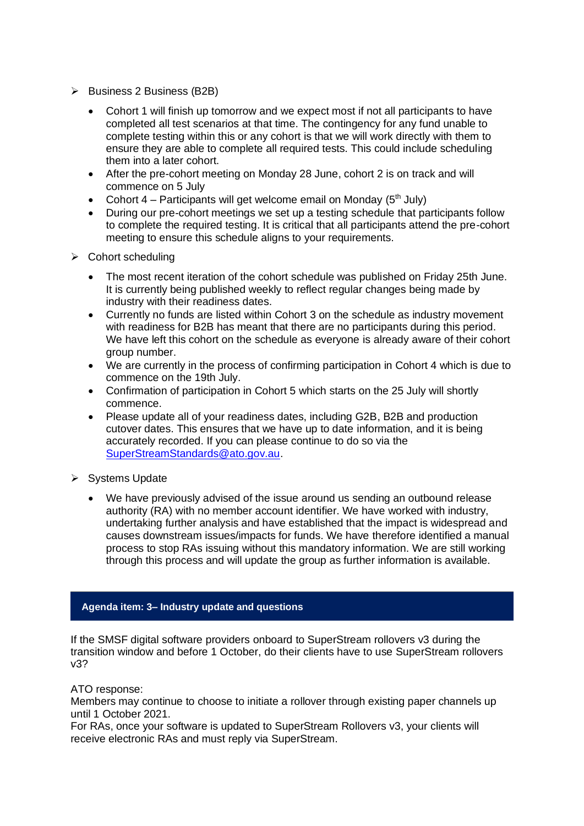- ➢ Business 2 Business (B2B)
	- Cohort 1 will finish up tomorrow and we expect most if not all participants to have completed all test scenarios at that time. The contingency for any fund unable to complete testing within this or any cohort is that we will work directly with them to ensure they are able to complete all required tests. This could include scheduling them into a later cohort.
	- After the pre-cohort meeting on Monday 28 June, cohort 2 is on track and will commence on 5 July
	- Cohort 4 Participants will get welcome email on Monday  $(5<sup>th</sup>$  July)
	- During our pre-cohort meetings we set up a testing schedule that participants follow to complete the required testing. It is critical that all participants attend the pre-cohort meeting to ensure this schedule aligns to your requirements.
- ➢ Cohort scheduling
	- The most recent iteration of the cohort schedule was published on Friday 25th June. It is currently being published weekly to reflect regular changes being made by industry with their readiness dates.
	- Currently no funds are listed within Cohort 3 on the schedule as industry movement with readiness for B2B has meant that there are no participants during this period. We have left this cohort on the schedule as everyone is already aware of their cohort group number.
	- We are currently in the process of confirming participation in Cohort 4 which is due to commence on the 19th July.
	- Confirmation of participation in Cohort 5 which starts on the 25 July will shortly commence.
	- Please update all of your readiness dates, including G2B, B2B and production cutover dates. This ensures that we have up to date information, and it is being accurately recorded. If you can please continue to do so via the [SuperStreamStandards@ato.gov.au.](mailto:SuperStreamStandards@ato.gov.au)
- ➢ Systems Update
	- We have previously advised of the issue around us sending an outbound release authority (RA) with no member account identifier. We have worked with industry, undertaking further analysis and have established that the impact is widespread and causes downstream issues/impacts for funds. We have therefore identified a manual process to stop RAs issuing without this mandatory information. We are still working through this process and will update the group as further information is available.

### **Agenda item: 3– Industry update and questions**

If the SMSF digital software providers onboard to SuperStream rollovers v3 during the transition window and before 1 October, do their clients have to use SuperStream rollovers v3?

### ATO response:

Members may continue to choose to initiate a rollover through existing paper channels up until 1 October 2021.

For RAs, once your software is updated to SuperStream Rollovers v3, your clients will receive electronic RAs and must reply via SuperStream.